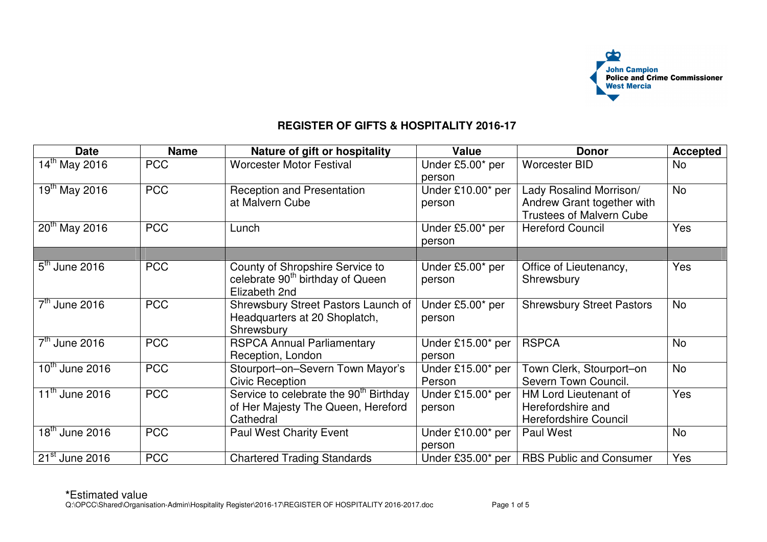

## **REGISTER OF GIFTS & HOSPITALITY 2016-17**

| <b>Date</b>                           | <b>Name</b> | Nature of gift or hospitality                                                                         | <b>Value</b>                | <b>Donor</b>                                                                             | <b>Accepted</b> |
|---------------------------------------|-------------|-------------------------------------------------------------------------------------------------------|-----------------------------|------------------------------------------------------------------------------------------|-----------------|
| 14th May 2016                         | <b>PCC</b>  | <b>Worcester Motor Festival</b>                                                                       | Under £5.00* per<br>person  | <b>Worcester BID</b>                                                                     | No              |
| $19^{th}$ May 2016                    | <b>PCC</b>  | <b>Reception and Presentation</b><br>at Malvern Cube                                                  | Under £10.00* per<br>person | Lady Rosalind Morrison/<br>Andrew Grant together with<br><b>Trustees of Malvern Cube</b> | <b>No</b>       |
| $20^{th}$ May 2016                    | <b>PCC</b>  | Lunch                                                                                                 | Under £5.00* per<br>person  | <b>Hereford Council</b>                                                                  | <b>Yes</b>      |
|                                       |             |                                                                                                       |                             |                                                                                          |                 |
| $5th$ June 2016                       | <b>PCC</b>  | County of Shropshire Service to<br>celebrate 90 <sup>th</sup> birthday of Queen<br>Elizabeth 2nd      | Under £5.00* per<br>person  | Office of Lieutenancy,<br>Shrewsbury                                                     | Yes             |
| $7th$ June 2016                       | <b>PCC</b>  | Shrewsbury Street Pastors Launch of<br>Headquarters at 20 Shoplatch,<br>Shrewsbury                    | Under £5.00* per<br>person  | <b>Shrewsbury Street Pastors</b>                                                         | <b>No</b>       |
| $7th$ June 2016                       | <b>PCC</b>  | <b>RSPCA Annual Parliamentary</b><br>Reception, London                                                | Under £15.00* per<br>person | <b>RSPCA</b>                                                                             | <b>No</b>       |
| $\overline{10}^{\text{th}}$ June 2016 | <b>PCC</b>  | Stourport-on-Severn Town Mayor's<br><b>Civic Reception</b>                                            | Under £15.00* per<br>Person | Town Clerk, Stourport-on<br>Severn Town Council.                                         | <b>No</b>       |
| $\overline{11}^{\text{th}}$ June 2016 | <b>PCC</b>  | Service to celebrate the 90 <sup>th</sup> Birthday<br>of Her Majesty The Queen, Hereford<br>Cathedral | Under £15.00* per<br>person | HM Lord Lieutenant of<br>Herefordshire and<br>Herefordshire Council                      | Yes             |
| $18th$ June 2016                      | <b>PCC</b>  | <b>Paul West Charity Event</b>                                                                        | Under £10.00* per<br>person | Paul West                                                                                | <b>No</b>       |
| $21st$ June 2016                      | <b>PCC</b>  | <b>Chartered Trading Standards</b>                                                                    | Under £35.00* per           | <b>RBS Public and Consumer</b>                                                           | Yes             |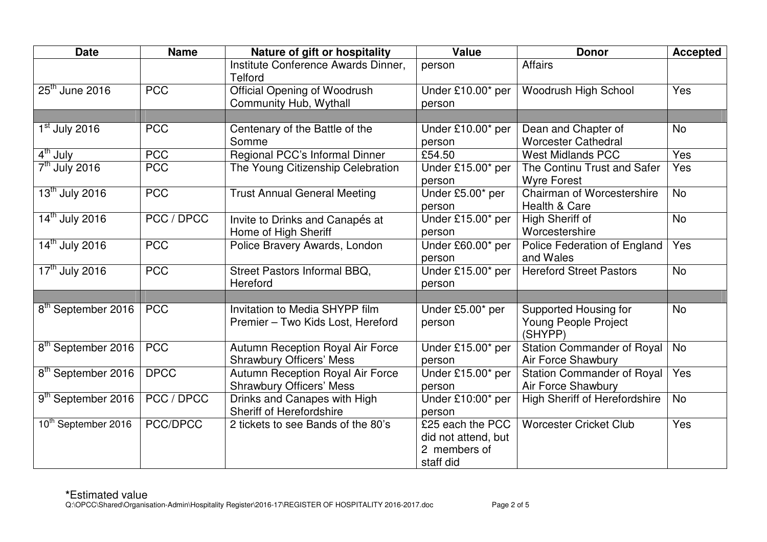| <b>Date</b>                     | <b>Name</b> | Nature of gift or hospitality                                       | <b>Value</b>                                                         | <b>Donor</b>                                             | <b>Accepted</b> |
|---------------------------------|-------------|---------------------------------------------------------------------|----------------------------------------------------------------------|----------------------------------------------------------|-----------------|
|                                 |             | Institute Conference Awards Dinner,<br><b>Telford</b>               | person                                                               | <b>Affairs</b>                                           |                 |
| $25th$ June 2016                | <b>PCC</b>  | <b>Official Opening of Woodrush</b><br>Community Hub, Wythall       | Under £10.00* per<br>person                                          | Woodrush High School                                     | Yes             |
|                                 |             |                                                                     |                                                                      |                                                          |                 |
| $1st$ July 2016                 | <b>PCC</b>  | Centenary of the Battle of the<br>Somme                             | Under £10.00* per<br>person                                          | Dean and Chapter of<br><b>Worcester Cathedral</b>        | <b>No</b>       |
| 4 <sup>th</sup> July            | <b>PCC</b>  | Regional PCC's Informal Dinner                                      | £54.50                                                               | <b>West Midlands PCC</b>                                 | Yes             |
| $7th$ July 2016                 | <b>PCC</b>  | The Young Citizenship Celebration                                   | Under £15.00* per<br>person                                          | The Continu Trust and Safer<br><b>Wyre Forest</b>        | Yes             |
| 13 <sup>th</sup> July 2016      | <b>PCC</b>  | <b>Trust Annual General Meeting</b>                                 | Under £5.00* per<br>person                                           | Chairman of Worcestershire<br>Health & Care              | <b>No</b>       |
| 14 <sup>th</sup> July 2016      | PCC / DPCC  | Invite to Drinks and Canapés at<br>Home of High Sheriff             | Under £15.00* per<br>person                                          | High Sheriff of<br>Worcestershire                        | <b>No</b>       |
| 14 <sup>th</sup> July 2016      | <b>PCC</b>  | Police Bravery Awards, London                                       | Under £60.00* per<br>person                                          | Police Federation of England<br>and Wales                | Yes             |
| 17 <sup>th</sup> July 2016      | <b>PCC</b>  | Street Pastors Informal BBQ,<br>Hereford                            | Under £15.00* per<br>person                                          | <b>Hereford Street Pastors</b>                           | <b>No</b>       |
| 8 <sup>th</sup> September 2016  | <b>PCC</b>  | Invitation to Media SHYPP film<br>Premier - Two Kids Lost, Hereford | Under £5.00* per<br>person                                           | Supported Housing for<br>Young People Project<br>(SHYPP) | <b>No</b>       |
| 8 <sup>th</sup> September 2016  | <b>PCC</b>  | Autumn Reception Royal Air Force<br><b>Shrawbury Officers' Mess</b> | Under £15.00* per<br>person                                          | <b>Station Commander of Royal</b><br>Air Force Shawbury  | <b>No</b>       |
| 8 <sup>th</sup> September 2016  | <b>DPCC</b> | Autumn Reception Royal Air Force<br><b>Shrawbury Officers' Mess</b> | Under £15.00* per<br>person                                          | <b>Station Commander of Royal</b><br>Air Force Shawbury  | Yes             |
| 9 <sup>th</sup> September 2016  | PCC / DPCC  | Drinks and Canapes with High<br>Sheriff of Herefordshire            | Under £10:00* per<br>person                                          | <b>High Sheriff of Herefordshire</b>                     | <b>No</b>       |
| 10 <sup>th</sup> September 2016 | PCC/DPCC    | 2 tickets to see Bands of the 80's                                  | £25 each the PCC<br>did not attend, but<br>2 members of<br>staff did | <b>Worcester Cricket Club</b>                            | Yes             |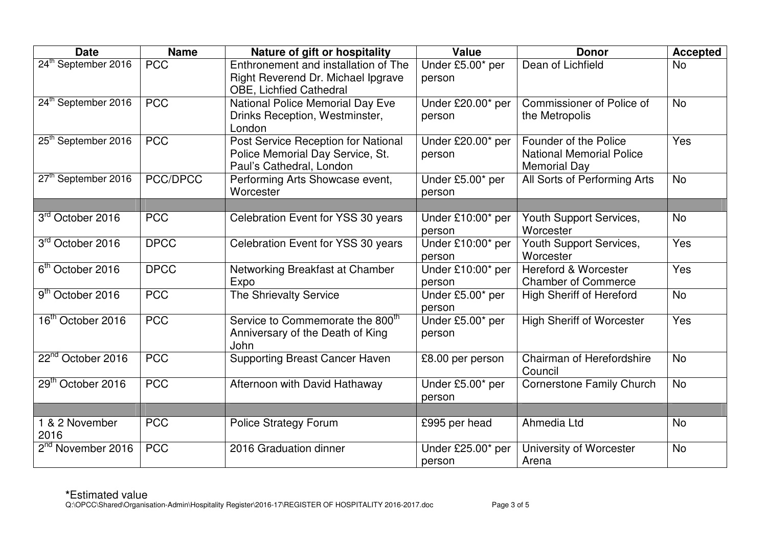| <b>Date</b>                     | <b>Name</b> | Nature of gift or hospitality                                                                                | <b>Value</b>                | <b>Donor</b>                                                                    | <b>Accepted</b> |
|---------------------------------|-------------|--------------------------------------------------------------------------------------------------------------|-----------------------------|---------------------------------------------------------------------------------|-----------------|
| 24 <sup>th</sup> September 2016 | <b>PCC</b>  | Enthronement and installation of The<br>Right Reverend Dr. Michael Ipgrave<br><b>OBE, Lichfied Cathedral</b> | Under £5.00* per<br>person  | Dean of Lichfield                                                               | <b>No</b>       |
| 24 <sup>th</sup> September 2016 | <b>PCC</b>  | <b>National Police Memorial Day Eve</b><br>Drinks Reception, Westminster,<br>London                          | Under £20.00* per<br>person | <b>Commissioner of Police of</b><br>the Metropolis                              | <b>No</b>       |
| 25 <sup>th</sup> September 2016 | <b>PCC</b>  | Post Service Reception for National<br>Police Memorial Day Service, St.<br>Paul's Cathedral, London          | Under £20.00* per<br>person | Founder of the Police<br><b>National Memorial Police</b><br><b>Memorial Day</b> | Yes             |
| 27 <sup>th</sup> September 2016 | PCC/DPCC    | Performing Arts Showcase event,<br>Worcester                                                                 | Under £5.00* per<br>person  | All Sorts of Performing Arts                                                    | <b>No</b>       |
| 3rd October 2016                | <b>PCC</b>  | Celebration Event for YSS 30 years                                                                           | Under £10:00* per<br>person | Youth Support Services,<br>Worcester                                            | <b>No</b>       |
| 3rd October 2016                | <b>DPCC</b> | Celebration Event for YSS 30 years                                                                           | Under £10:00* per<br>person | Youth Support Services,<br>Worcester                                            | Yes             |
| 6 <sup>th</sup> October 2016    | <b>DPCC</b> | Networking Breakfast at Chamber<br>Expo                                                                      | Under £10:00* per<br>person | <b>Hereford &amp; Worcester</b><br><b>Chamber of Commerce</b>                   | Yes             |
| $9th$ October 2016              | <b>PCC</b>  | <b>The Shrievalty Service</b>                                                                                | Under £5.00* per<br>person  | <b>High Sheriff of Hereford</b>                                                 | <b>No</b>       |
| 16 <sup>th</sup> October 2016   | <b>PCC</b>  | Service to Commemorate the 800 <sup>th</sup><br>Anniversary of the Death of King<br>John                     | Under £5.00* per<br>person  | <b>High Sheriff of Worcester</b>                                                | Yes             |
| 22 <sup>nd</sup> October 2016   | <b>PCC</b>  | <b>Supporting Breast Cancer Haven</b>                                                                        | £8.00 per person            | Chairman of Herefordshire<br>Council                                            | <b>No</b>       |
| 29th October 2016               | <b>PCC</b>  | Afternoon with David Hathaway                                                                                | Under £5.00* per<br>person  | <b>Cornerstone Family Church</b>                                                | <b>No</b>       |
| 1 & 2 November<br>2016          | <b>PCC</b>  | <b>Police Strategy Forum</b>                                                                                 | £995 per head               | Ahmedia Ltd                                                                     | <b>No</b>       |
| 2 <sup>nd</sup> November 2016   | <b>PCC</b>  | 2016 Graduation dinner                                                                                       | Under £25.00* per<br>person | University of Worcester<br>Arena                                                | <b>No</b>       |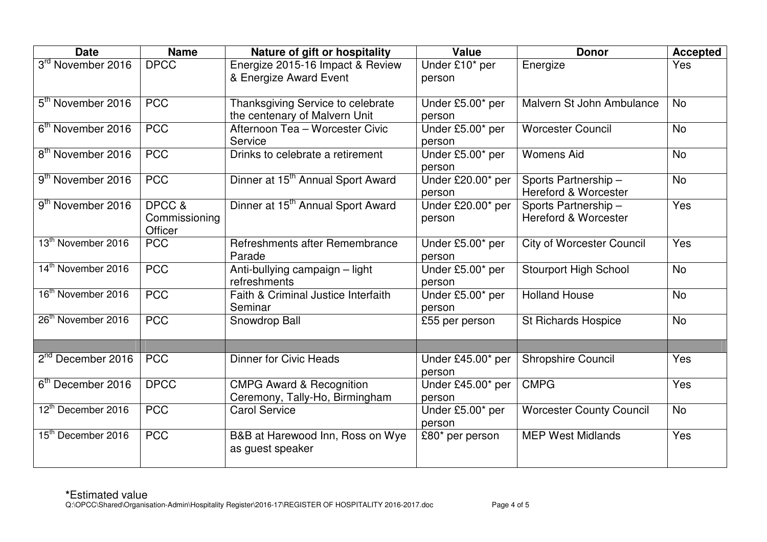| <b>Date</b>                    | <b>Name</b>   | Nature of gift or hospitality                 | <b>Value</b>      | <b>Donor</b>                     | <b>Accepted</b> |
|--------------------------------|---------------|-----------------------------------------------|-------------------|----------------------------------|-----------------|
| 3rd November 2016              | <b>DPCC</b>   | Energize 2015-16 Impact & Review              | Under £10* per    | Energize                         | <b>Yes</b>      |
|                                |               | & Energize Award Event                        | person            |                                  |                 |
|                                |               |                                               |                   |                                  |                 |
| 5 <sup>th</sup> November 2016  | <b>PCC</b>    | Thanksgiving Service to celebrate             | Under £5.00* per  | Malvern St John Ambulance        | <b>No</b>       |
|                                |               | the centenary of Malvern Unit                 | person            |                                  |                 |
| 6 <sup>th</sup> November 2016  | <b>PCC</b>    | Afternoon Tea - Worcester Civic               | Under £5.00* per  | <b>Worcester Council</b>         | <b>No</b>       |
|                                |               | Service                                       | person            |                                  |                 |
| 8 <sup>th</sup> November 2016  | <b>PCC</b>    | Drinks to celebrate a retirement              | Under £5.00* per  | <b>Womens Aid</b>                | <b>No</b>       |
|                                |               |                                               | person            |                                  |                 |
| 9 <sup>th</sup> November 2016  | <b>PCC</b>    | Dinner at 15 <sup>th</sup> Annual Sport Award | Under £20.00* per | Sports Partnership-              | <b>No</b>       |
|                                |               |                                               | person            | <b>Hereford &amp; Worcester</b>  |                 |
| 9 <sup>th</sup> November 2016  | DPCC &        | Dinner at 15 <sup>th</sup> Annual Sport Award | Under £20.00* per | Sports Partnership-              | Yes             |
|                                | Commissioning |                                               | person            | <b>Hereford &amp; Worcester</b>  |                 |
|                                | Officer       |                                               |                   |                                  |                 |
| 13 <sup>th</sup> November 2016 | <b>PCC</b>    | Refreshments after Remembrance                | Under £5.00* per  | <b>City of Worcester Council</b> | Yes             |
|                                |               | Parade                                        | person            |                                  |                 |
| 14 <sup>th</sup> November 2016 | <b>PCC</b>    | Anti-bullying campaign - light                | Under £5.00* per  | <b>Stourport High School</b>     | <b>No</b>       |
|                                |               | refreshments                                  | person            |                                  |                 |
| 16 <sup>th</sup> November 2016 | <b>PCC</b>    | Faith & Criminal Justice Interfaith           | Under £5.00* per  | <b>Holland House</b>             | <b>No</b>       |
|                                |               | Seminar                                       | person            |                                  |                 |
| 26 <sup>th</sup> November 2016 | <b>PCC</b>    | Snowdrop Ball                                 | £55 per person    | <b>St Richards Hospice</b>       | <b>No</b>       |
|                                |               |                                               |                   |                                  |                 |
|                                |               |                                               |                   |                                  |                 |
| 2 <sup>nd</sup> December 2016  | <b>PCC</b>    | <b>Dinner for Civic Heads</b>                 | Under £45.00* per | <b>Shropshire Council</b>        | Yes             |
|                                |               |                                               | person            |                                  |                 |
| 6 <sup>th</sup> December 2016  | <b>DPCC</b>   | <b>CMPG Award &amp; Recognition</b>           | Under £45.00* per | <b>CMPG</b>                      | Yes             |
|                                |               | Ceremony, Tally-Ho, Birmingham                | person            |                                  |                 |
| 12 <sup>th</sup> December 2016 | <b>PCC</b>    | <b>Carol Service</b>                          | Under £5.00* per  | <b>Worcester County Council</b>  | <b>No</b>       |
|                                |               |                                               | person            |                                  |                 |
| 15 <sup>th</sup> December 2016 | <b>PCC</b>    | B&B at Harewood Inn, Ross on Wye              | £80* per person   | <b>MEP West Midlands</b>         | Yes             |
|                                |               | as guest speaker                              |                   |                                  |                 |
|                                |               |                                               |                   |                                  |                 |